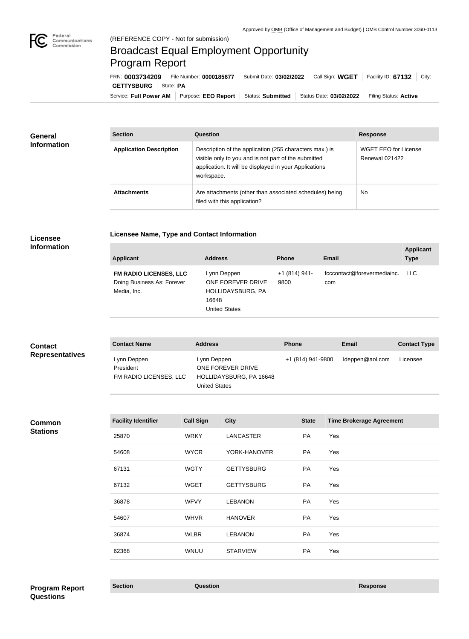

# Broadcast Equal Employment Opportunity Program Report

**Licensee Name, Type and Contact Information**

Service: Full Power AM Purpose: EEO Report | Status: Submitted | Status Date: 03/02/2022 | Filing Status: Active **GETTYSBURG** | State: PA FRN: **0003734209** File Number: **0000185677** Submit Date: **03/02/2022** Call Sign: **WGET** Facility ID: **67132** City:

| <b>General</b><br><b>Information</b> | <b>Section</b>                 | Question                                                                                                                                                                                | <b>Response</b>                        |  |
|--------------------------------------|--------------------------------|-----------------------------------------------------------------------------------------------------------------------------------------------------------------------------------------|----------------------------------------|--|
|                                      | <b>Application Description</b> | Description of the application (255 characters max.) is<br>visible only to you and is not part of the submitted<br>application. It will be displayed in your Applications<br>workspace. | WGET EEO for License<br>Renewal 021422 |  |
|                                      | <b>Attachments</b>             | Are attachments (other than associated schedules) being<br>filed with this application?                                                                                                 | No                                     |  |

### **Licensee Information**

| <b>Applicant</b>                                                           | <b>Address</b>                                                                         | <b>Phone</b>          | <b>Email</b>                           | <b>Applicant</b><br><b>Type</b> |
|----------------------------------------------------------------------------|----------------------------------------------------------------------------------------|-----------------------|----------------------------------------|---------------------------------|
| <b>FM RADIO LICENSES, LLC</b><br>Doing Business As: Forever<br>Media, Inc. | Lynn Deppen<br>ONE FOREVER DRIVE<br>HOLLIDAYSBURG, PA<br>16648<br><b>United States</b> | $+1(814)941-$<br>9800 | fcccontact@forevermediainc. LLC<br>com |                                 |

| <b>Contact</b>         | <b>Contact Name</b>                                | <b>Address</b>                                                                      | <b>Phone</b>      | Email           | <b>Contact Type</b> |
|------------------------|----------------------------------------------------|-------------------------------------------------------------------------------------|-------------------|-----------------|---------------------|
| <b>Representatives</b> | Lynn Deppen<br>President<br>FM RADIO LICENSES, LLC | Lynn Deppen<br>ONE FOREVER DRIVE<br>HOLLIDAYSBURG, PA 16648<br><b>United States</b> | +1 (814) 941-9800 | ldeppen@aol.com | Licensee            |

#### **Common Stations**

| <b>Facility Identifier</b> | <b>Call Sign</b> | <b>City</b>       | <b>State</b> | <b>Time Brokerage Agreement</b> |
|----------------------------|------------------|-------------------|--------------|---------------------------------|
| 25870                      | <b>WRKY</b>      | <b>LANCASTER</b>  | PA           | Yes                             |
| 54608                      | <b>WYCR</b>      | YORK-HANOVER      | PA           | Yes                             |
| 67131                      | <b>WGTY</b>      | <b>GETTYSBURG</b> | PA           | Yes                             |
| 67132                      | <b>WGET</b>      | <b>GETTYSBURG</b> | PA           | Yes                             |
| 36878                      | <b>WFVY</b>      | <b>LEBANON</b>    | <b>PA</b>    | Yes                             |
| 54607                      | <b>WHVR</b>      | <b>HANOVER</b>    | <b>PA</b>    | Yes                             |
| 36874                      | <b>WLBR</b>      | <b>LEBANON</b>    | PA           | Yes                             |
| 62368                      | <b>WNUU</b>      | <b>STARVIEW</b>   | PA           | Yes                             |